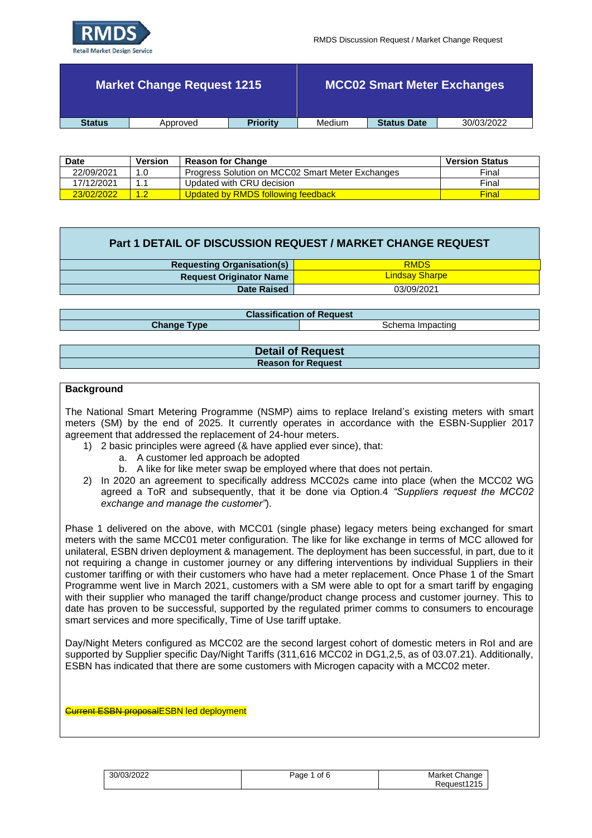

|               | Market Change Request 1215 |                 |        |                    | <b>MCC02 Smart Meter Exchanges</b> |
|---------------|----------------------------|-----------------|--------|--------------------|------------------------------------|
| <b>Status</b> | Approved                   | <b>Priority</b> | Medium | <b>Status Date</b> | 30/03/2022                         |

| <b>Date</b> | Version         | <b>Reason for Change</b>                         | <b>Version Status</b> |
|-------------|-----------------|--------------------------------------------------|-----------------------|
| 22/09/2021  | 1.0             | Progress Solution on MCC02 Smart Meter Exchanges | Final                 |
| 17/12/2021  | 11              | Updated with CRU decision                        | Final                 |
| 23/02/2022  | $^{\prime}$ 1.2 | Updated by RMDS following feedback               | Final                 |

| <b>Requesting Organisation(s)</b> | <b>RMDS</b>           |
|-----------------------------------|-----------------------|
| <b>Request Originator Name</b>    | <b>Lindsay Sharpe</b> |
| Date Raised                       | 03/09/2021            |
|                                   |                       |

**Classification of Request**

**Change Type** Schema Impacting

| <b>Detail of Request</b>  |  |
|---------------------------|--|
| <b>Reason for Request</b> |  |

## **Background**

The National Smart Metering Programme (NSMP) aims to replace Ireland's existing meters with smart meters (SM) by the end of 2025. It currently operates in accordance with the ESBN-Supplier 2017 agreement that addressed the replacement of 24-hour meters.

- 1) 2 basic principles were agreed (& have applied ever since), that:
	- a. A customer led approach be adopted
	- b. A like for like meter swap be employed where that does not pertain.
- 2) In 2020 an agreement to specifically address MCC02s came into place (when the MCC02 WG agreed a ToR and subsequently, that it be done via Option.4 *"Suppliers request the MCC02 exchange and manage the customer"*).

Phase 1 delivered on the above, with MCC01 (single phase) legacy meters being exchanged for smart meters with the same MCC01 meter configuration. The like for like exchange in terms of MCC allowed for unilateral, ESBN driven deployment & management. The deployment has been successful, in part, due to it not requiring a change in customer journey or any differing interventions by individual Suppliers in their customer tariffing or with their customers who have had a meter replacement. Once Phase 1 of the Smart Programme went live in March 2021, customers with a SM were able to opt for a smart tariff by engaging with their supplier who managed the tariff change/product change process and customer journey. This to date has proven to be successful, supported by the regulated primer comms to consumers to encourage smart services and more specifically, Time of Use tariff uptake.

Day/Night Meters configured as MCC02 are the second largest cohort of domestic meters in RoI and are supported by Supplier specific Day/Night Tariffs (311,616 MCC02 in DG1,2,5, as of 03.07.21). Additionally, ESBN has indicated that there are some customers with Microgen capacity with a MCC02 meter.

Current ESBN proposalESBN led deployment

| 30/03/2022 | Page 1 of 6 | Market Change |
|------------|-------------|---------------|
|            |             | Request1215   |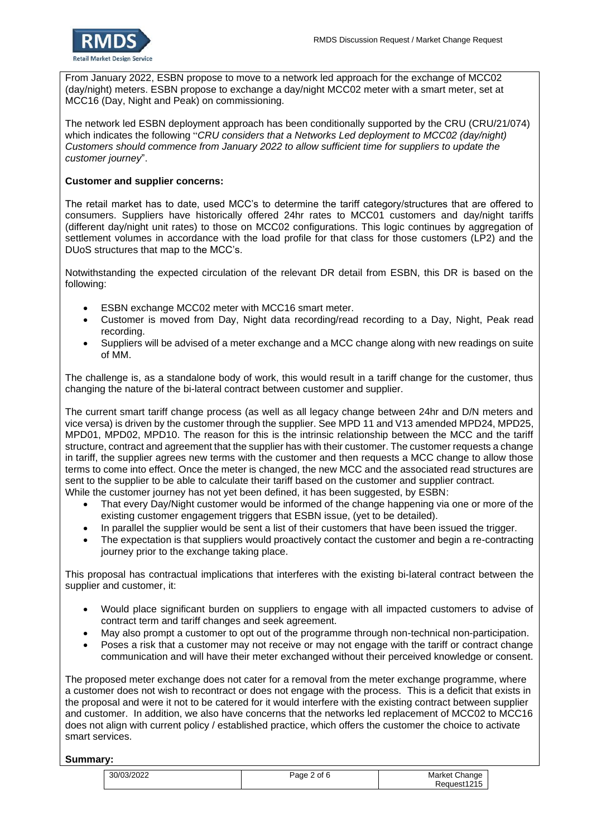From January 2022, ESBN propose to move to a network led approach for the exchange of MCC02 (day/night) meters. ESBN propose to exchange a day/night MCC02 meter with a smart meter, set at MCC16 (Day, Night and Peak) on commissioning.

The network led ESBN deployment approach has been conditionally supported by the CRU (CRU/21/074) which indicates the following "*CRU considers that a Networks Led deployment to MCC02 (day/night) Customers should commence from January 2022 to allow sufficient time for suppliers to update the customer journey*".

## **Customer and supplier concerns:**

The retail market has to date, used MCC's to determine the tariff category/structures that are offered to consumers. Suppliers have historically offered 24hr rates to MCC01 customers and day/night tariffs (different day/night unit rates) to those on MCC02 configurations. This logic continues by aggregation of settlement volumes in accordance with the load profile for that class for those customers (LP2) and the DUoS structures that map to the MCC's.

Notwithstanding the expected circulation of the relevant DR detail from ESBN, this DR is based on the following:

- ESBN exchange MCC02 meter with MCC16 smart meter.
- Customer is moved from Day, Night data recording/read recording to a Day, Night, Peak read recording.
- Suppliers will be advised of a meter exchange and a MCC change along with new readings on suite of MM.

The challenge is, as a standalone body of work, this would result in a tariff change for the customer, thus changing the nature of the bi-lateral contract between customer and supplier.

The current smart tariff change process (as well as all legacy change between 24hr and D/N meters and vice versa) is driven by the customer through the supplier. See MPD 11 and V13 amended MPD24, MPD25, MPD01, MPD02, MPD10. The reason for this is the intrinsic relationship between the MCC and the tariff structure, contract and agreement that the supplier has with their customer. The customer requests a change in tariff, the supplier agrees new terms with the customer and then requests a MCC change to allow those terms to come into effect. Once the meter is changed, the new MCC and the associated read structures are sent to the supplier to be able to calculate their tariff based on the customer and supplier contract. While the customer journey has not yet been defined, it has been suggested, by ESBN:

- That every Day/Night customer would be informed of the change happening via one or more of the existing customer engagement triggers that ESBN issue, (yet to be detailed).
- In parallel the supplier would be sent a list of their customers that have been issued the trigger.
- The expectation is that suppliers would proactively contact the customer and begin a re-contracting journey prior to the exchange taking place.

This proposal has contractual implications that interferes with the existing bi-lateral contract between the supplier and customer, it:

- Would place significant burden on suppliers to engage with all impacted customers to advise of contract term and tariff changes and seek agreement.
- May also prompt a customer to opt out of the programme through non-technical non-participation.
- Poses a risk that a customer may not receive or may not engage with the tariff or contract change communication and will have their meter exchanged without their perceived knowledge or consent.

The proposed meter exchange does not cater for a removal from the meter exchange programme, where a customer does not wish to recontract or does not engage with the process. This is a deficit that exists in the proposal and were it not to be catered for it would interfere with the existing contract between supplier and customer. In addition, we also have concerns that the networks led replacement of MCC02 to MCC16 does not align with current policy / established practice, which offers the customer the choice to activate smart services.

## **Summary:**

| 30/03/2022 | 2 of 6<br>Page | Market Change |
|------------|----------------|---------------|
|            |                | Request1215   |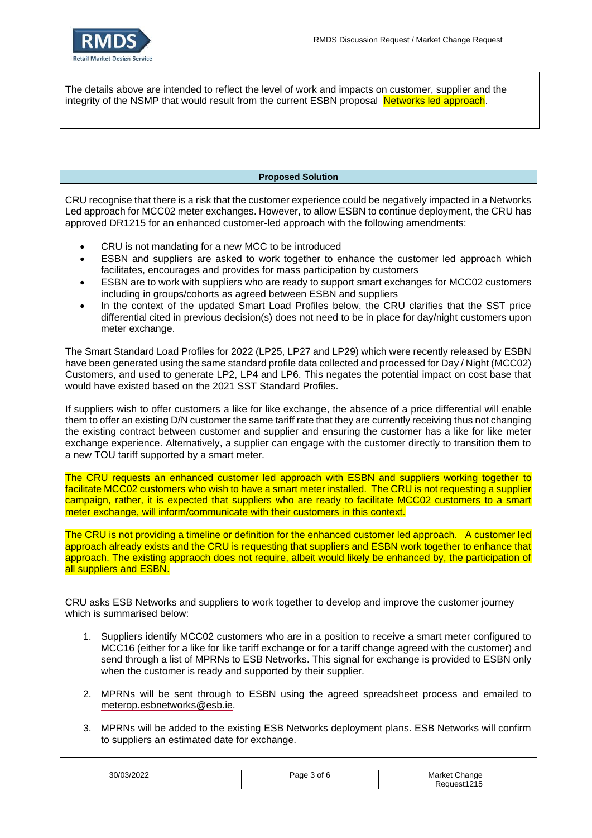

The details above are intended to reflect the level of work and impacts on customer, supplier and the integrity of the NSMP that would result from the current ESBN proposal Networks led approach.

## **Proposed Solution**

CRU recognise that there is a risk that the customer experience could be negatively impacted in a Networks Led approach for MCC02 meter exchanges. However, to allow ESBN to continue deployment, the CRU has approved DR1215 for an enhanced customer-led approach with the following amendments:

- CRU is not mandating for a new MCC to be introduced
- ESBN and suppliers are asked to work together to enhance the customer led approach which facilitates, encourages and provides for mass participation by customers
- ESBN are to work with suppliers who are ready to support smart exchanges for MCC02 customers including in groups/cohorts as agreed between ESBN and suppliers
- In the context of the updated Smart Load Profiles below, the CRU clarifies that the SST price differential cited in previous decision(s) does not need to be in place for day/night customers upon meter exchange.

The Smart Standard Load Profiles for 2022 (LP25, LP27 and LP29) which were recently released by ESBN have been generated using the same standard profile data collected and processed for Day / Night (MCC02) Customers, and used to generate LP2, LP4 and LP6. This negates the potential impact on cost base that would have existed based on the 2021 SST Standard Profiles.

If suppliers wish to offer customers a like for like exchange, the absence of a price differential will enable them to offer an existing D/N customer the same tariff rate that they are currently receiving thus not changing the existing contract between customer and supplier and ensuring the customer has a like for like meter exchange experience. Alternatively, a supplier can engage with the customer directly to transition them to a new TOU tariff supported by a smart meter.

The CRU requests an enhanced customer led approach with ESBN and suppliers working together to facilitate MCC02 customers who wish to have a smart meter installed. The CRU is not requesting a supplier campaign, rather, it is expected that suppliers who are ready to facilitate MCC02 customers to a smart meter exchange, will inform/communicate with their customers in this context.

The CRU is not providing a timeline or definition for the enhanced customer led approach. A customer led approach already exists and the CRU is requesting that suppliers and ESBN work together to enhance that approach. The existing appraoch does not require, albeit would likely be enhanced by, the participation of all suppliers and ESBN.

CRU asks ESB Networks and suppliers to work together to develop and improve the customer journey which is summarised below:

- 1. Suppliers identify MCC02 customers who are in a position to receive a smart meter configured to MCC16 (either for a like for like tariff exchange or for a tariff change agreed with the customer) and send through a list of MPRNs to ESB Networks. This signal for exchange is provided to ESBN only when the customer is ready and supported by their supplier.
- 2. MPRNs will be sent through to ESBN using the agreed spreadsheet process and emailed to [meterop.esbnetworks@esb.ie.](mailto:meterop.esbnetworks@esb.ie)
- 3. MPRNs will be added to the existing ESB Networks deployment plans. ESB Networks will confirm to suppliers an estimated date for exchange.

| 30/03/2022 | 3 of<br>c<br>יחמ≏ | Market Change         |
|------------|-------------------|-----------------------|
|            |                   | ™request, k<br>$\sim$ |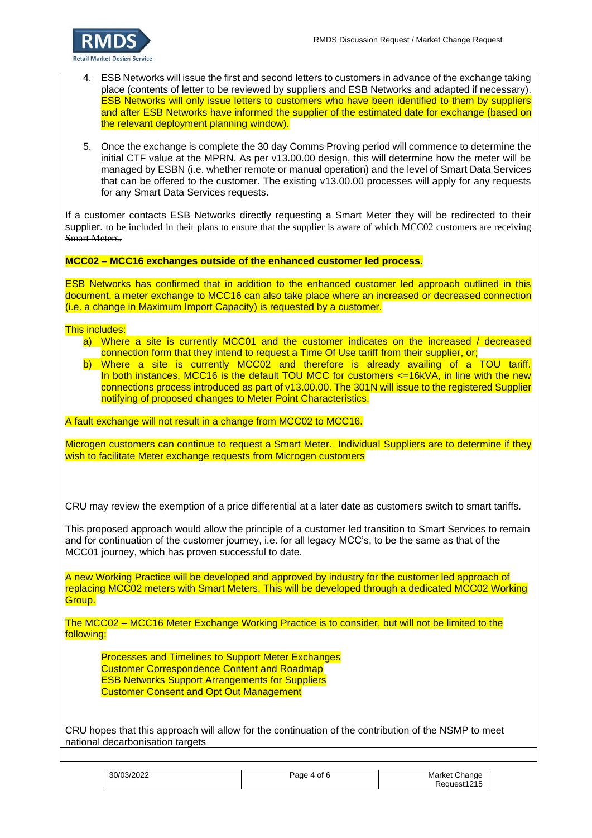

- 4. ESB Networks will issue the first and second letters to customers in advance of the exchange taking place (contents of letter to be reviewed by suppliers and ESB Networks and adapted if necessary). ESB Networks will only issue letters to customers who have been identified to them by suppliers and after ESB Networks have informed the supplier of the estimated date for exchange (based on the relevant deployment planning window).
- 5. Once the exchange is complete the 30 day Comms Proving period will commence to determine the initial CTF value at the MPRN. As per v13.00.00 design, this will determine how the meter will be managed by ESBN (i.e. whether remote or manual operation) and the level of Smart Data Services that can be offered to the customer. The existing v13.00.00 processes will apply for any requests for any Smart Data Services requests.

If a customer contacts ESB Networks directly requesting a Smart Meter they will be redirected to their supplier. to be included in their plans to ensure that the supplier is aware of which MCC02 customers are receiving Smart Meters.

**MCC02 – MCC16 exchanges outside of the enhanced customer led process.** 

ESB Networks has confirmed that in addition to the enhanced customer led approach outlined in this document, a meter exchange to MCC16 can also take place where an increased or decreased connection (i.e. a change in Maximum Import Capacity) is requested by a customer.

This includes:

- a) Where a site is currently MCC01 and the customer indicates on the increased / decreased connection form that they intend to request a Time Of Use tariff from their supplier, or;
- b) Where a site is currently MCC02 and therefore is already availing of a TOU tariff. In both instances, MCC16 is the default TOU MCC for customers  $\leq$  =16kVA, in line with the new connections process introduced as part of v13.00.00. The 301N will issue to the registered Supplier notifying of proposed changes to Meter Point Characteristics.

A fault exchange will not result in a change from MCC02 to MCC16.

Microgen customers can continue to request a Smart Meter. Individual Suppliers are to determine if they wish to facilitate Meter exchange requests from Microgen customers

CRU may review the exemption of a price differential at a later date as customers switch to smart tariffs.

This proposed approach would allow the principle of a customer led transition to Smart Services to remain and for continuation of the customer journey, i.e. for all legacy MCC's, to be the same as that of the MCC01 journey, which has proven successful to date.

A new Working Practice will be developed and approved by industry for the customer led approach of replacing MCC02 meters with Smart Meters. This will be developed through a dedicated MCC02 Working Group.

The MCC02 – MCC16 Meter Exchange Working Practice is to consider, but will not be limited to the following:

Processes and Timelines to Support Meter Exchanges Customer Correspondence Content and Roadmap ESB Networks Support Arrangements for Suppliers Customer Consent and Opt Out Management

CRU hopes that this approach will allow for the continuation of the contribution of the NSMP to meet national decarbonisation targets

| 30/03/2022 | οt<br>Page<br>$\Lambda$ | Market Change      |
|------------|-------------------------|--------------------|
|            |                         | est1215<br>'eauest |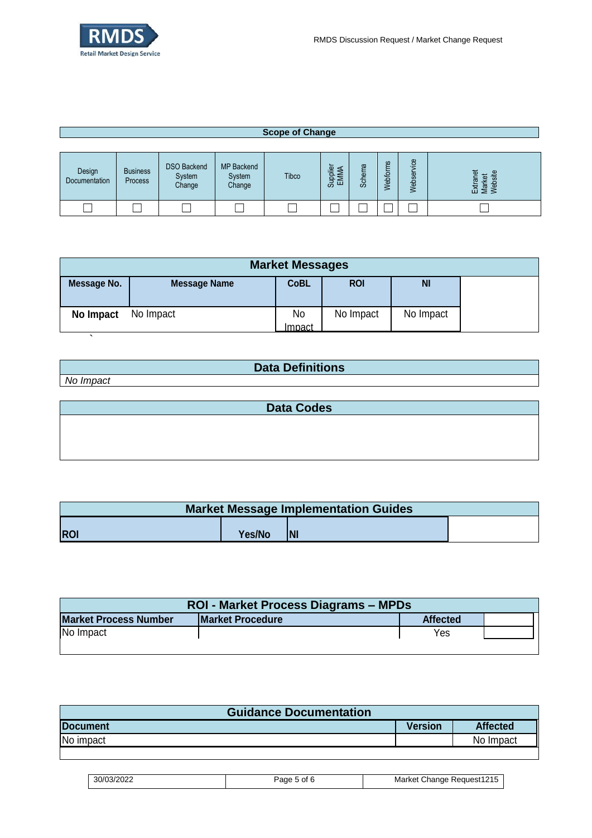

 $\overline{\phantom{a}}$ 

| <b>Scope of Change</b>  |                            |                    |                   |       |                  |       |       |        |                                             |
|-------------------------|----------------------------|--------------------|-------------------|-------|------------------|-------|-------|--------|---------------------------------------------|
|                         |                            | <b>DSO Backend</b> | <b>MP Backend</b> |       |                  | ω     | εù    | jce    |                                             |
| Design<br>Documentation | <b>Business</b><br>Process | System<br>Change   | System<br>Change  | Tibco | Supplier<br>EMMA | Schem | ebfor | Webser | <b>Ter</b><br>Extranet<br>Market<br>Website |
|                         |                            |                    |                   |       |                  |       |       |        |                                             |

| <b>Market Messages</b> |                     |               |            |           |  |
|------------------------|---------------------|---------------|------------|-----------|--|
| Message No.            | <b>Message Name</b> | <b>CoBL</b>   | <b>ROI</b> | <b>NI</b> |  |
| No Impact              | No Impact           | No            | No Impact  | No Impact |  |
|                        |                     | <u>Impact</u> |            |           |  |

| <b>Data Definitions</b> |
|-------------------------|
| No Impact               |
|                         |

| <b>Data Codes</b> |  |  |
|-------------------|--|--|
|                   |  |  |
|                   |  |  |
|                   |  |  |

| <b>Market Message Implementation Guides</b> |        |            |  |
|---------------------------------------------|--------|------------|--|
|                                             |        |            |  |
| <b>ROI</b>                                  | Yes/No | <b>INI</b> |  |

| <b>ROI - Market Process Diagrams – MPDs</b> |                         |  |                 |  |
|---------------------------------------------|-------------------------|--|-----------------|--|
| <b>Market Process Number</b>                | <b>Market Procedure</b> |  | <b>Affected</b> |  |
| No Impact                                   |                         |  | Yes             |  |
|                                             |                         |  |                 |  |

| <b>Guidance Documentation</b> |                |                 |  |
|-------------------------------|----------------|-----------------|--|
| <b>Document</b>               | <b>Version</b> | <b>Affected</b> |  |
| No impact                     |                | No Impact       |  |
|                               |                |                 |  |

| 30/03/2022 | aae<br>οt<br> | J Reauest1215<br>Market<br>Change |
|------------|---------------|-----------------------------------|
|------------|---------------|-----------------------------------|